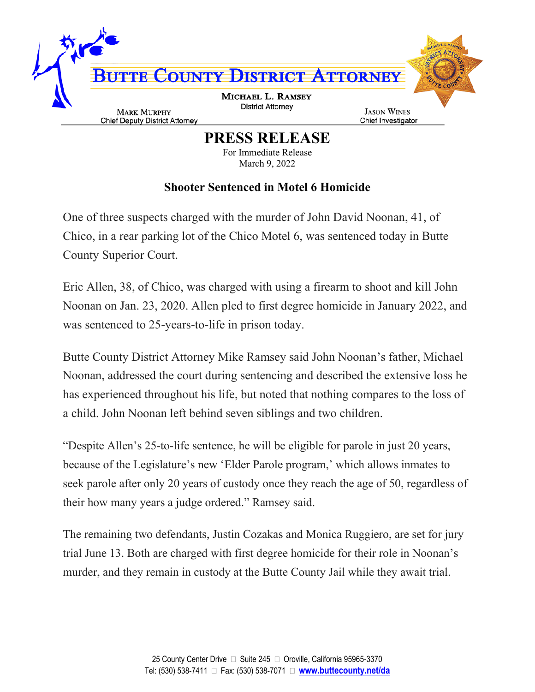

**PRESS RELEASE**

For Immediate Release March 9, 2022

## **Shooter Sentenced in Motel 6 Homicide**

One of three suspects charged with the murder of John David Noonan, 41, of Chico, in a rear parking lot of the Chico Motel 6, was sentenced today in Butte County Superior Court.

Eric Allen, 38, of Chico, was charged with using a firearm to shoot and kill John Noonan on Jan. 23, 2020. Allen pled to first degree homicide in January 2022, and was sentenced to 25-years-to-life in prison today.

Butte County District Attorney Mike Ramsey said John Noonan's father, Michael Noonan, addressed the court during sentencing and described the extensive loss he has experienced throughout his life, but noted that nothing compares to the loss of a child. John Noonan left behind seven siblings and two children.

"Despite Allen's 25-to-life sentence, he will be eligible for parole in just 20 years, because of the Legislature's new 'Elder Parole program,' which allows inmates to seek parole after only 20 years of custody once they reach the age of 50, regardless of their how many years a judge ordered." Ramsey said.

The remaining two defendants, Justin Cozakas and Monica Ruggiero, are set for jury trial June 13. Both are charged with first degree homicide for their role in Noonan's murder, and they remain in custody at the Butte County Jail while they await trial.